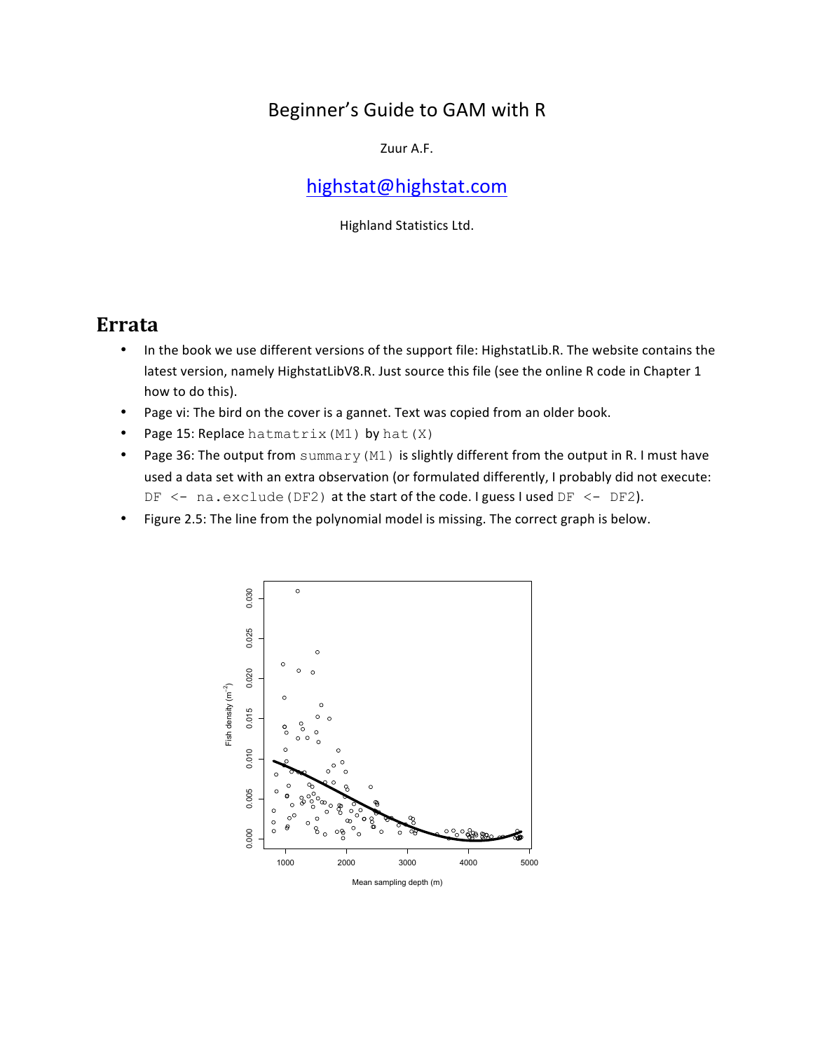## Beginner's Guide to GAM with R

Zuur A.F.

## highstat@highstat.com

Highland Statistics Ltd.

## **Errata**

- In the book we use different versions of the support file: HighstatLib.R. The website contains the latest version, namely HighstatLibV8.R. Just source this file (see the online R code in Chapter 1 how to do this).
- Page vi: The bird on the cover is a gannet. Text was copied from an older book.
- Page 15: Replace hatmatrix (M1) by hat  $(X)$
- Page 36: The output from summary (M1) is slightly different from the output in R. I must have used a data set with an extra observation (or formulated differently, I probably did not execute: DF  $\le$  - na.exclude (DF2) at the start of the code. I guess I used DF  $\le$  - DF2).
- Figure 2.5: The line from the polynomial model is missing. The correct graph is below.